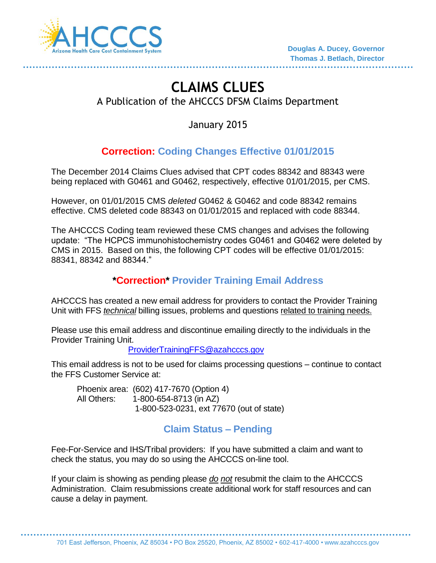

......................................

# **CLAIMS CLUES**

A Publication of the AHCCCS DFSM Claims Department

January 2015

# **Correction: Coding Changes Effective 01/01/2015**

The December 2014 Claims Clues advised that CPT codes 88342 and 88343 were being replaced with G0461 and G0462, respectively, effective 01/01/2015, per CMS.

However, on 01/01/2015 CMS *deleted* G0462 & G0462 and code 88342 remains effective. CMS deleted code 88343 on 01/01/2015 and replaced with code 88344.

The AHCCCS Coding team reviewed these CMS changes and advises the following update: "The HCPCS immunohistochemistry codes G0461 and G0462 were deleted by CMS in 2015. Based on this, the following CPT codes will be effective 01/01/2015: 88341, 88342 and 88344."

#### **\*Correction\* Provider Training Email Address**

AHCCCS has created a new email address for providers to contact the Provider Training Unit with FFS *technical* billing issues, problems and questions related to training needs.

Please use this email address and discontinue emailing directly to the individuals in the Provider Training Unit.

[ProviderTrainingFFS@azahcccs.gov](mailto:ProviderTrainingFFS@azahcccs.gov)

This email address is not to be used for claims processing questions – continue to contact the FFS Customer Service at:

Phoenix area: (602) 417-7670 (Option 4) All Others: 1-800-654-8713 (in AZ) 1-800-523-0231, ext 77670 (out of state)

## **Claim Status – Pending**

Fee-For-Service and IHS/Tribal providers: If you have submitted a claim and want to check the status, you may do so using the AHCCCS on-line tool.

If your claim is showing as pending please *do not* resubmit the claim to the AHCCCS Administration. Claim resubmissions create additional work for staff resources and can cause a delay in payment.